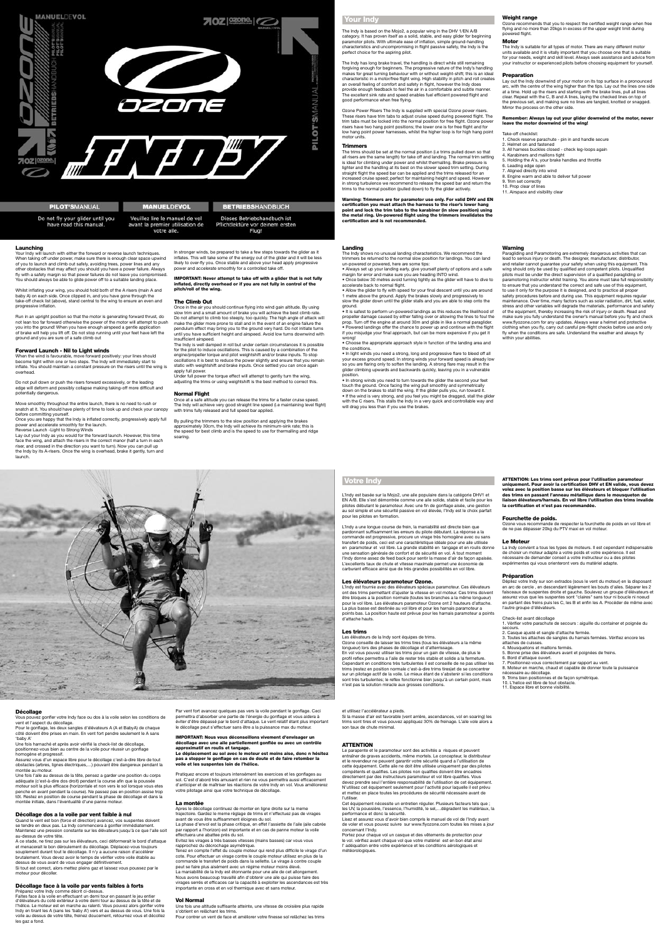

## **PILOT'SMANUAL**

Do not fly your glider until you

have read this manual.

## **MANUELDEVOL**

# Veuillez lire le manuel de vol avant la premier utilisation de

votre aile.

**BETRIEBSHANDBUCH** Dieses Betriebshandbuch ist

## Weight range

Flug!

Pflichtlektüre vor deinem ersten

Ozone recommends that you to respect the certified weight range when free flying and no more than 20 kgs in excess of the upper weight limit during powered flight.

#### Motor

The Indy is suitable for all types of motor. There are many different motor units available and it is vitally important that you choose one that is suitable for your needs, weight and skill level. Always seek assistance and advice from your instructor or experienced pilots before choosing equipment for yourself.

#### **Preparation**

Lay out the Indy downwind of your motor on its top surface in a pronounced arc, with the centre of the wing higher than the tips. Lay out the lines one side at a time. Hold up the risers and starting with the brake lines, pull all lines clear. Repeat with the C, B and A lines, laying the checked lines on top of the previous set, and making sure no lines are tangled, knotted or snagged. Mirror the process on the other side.

Your Indy will launch with either the forward or reverse launch techniques. When taking off under power, make sure there is enough clear space upwind of you to launch and climb out safely, avoiding trees, power lines and any other obstacles that may affect you should you have a power failure. Always fly with a safety margin so that power failures do not leave you compromised. You should always be able to glide power off to a suitable landing place.

### Remember: Always lay out your glider downwind of the motor, never leave the motor downwind of the wing!

Take-off checklist: 1. Check reserve parachute - pin in and handle secure 2. Helmet on and fastened 3. All harness buckles closed - check leg-loops again 4. Karabiners and maillons tight 5. Holding the A's, your brake handles and throttle 6. Leading edge open 7. Aligned directly into wind 8. Engine warm and able to deliver full power 9. Trim set correctly 10. Prop clear of lines 11. Airspace and visibility clear

## Launching

Once you are happy that the Indy is inflated correctly, progressively apply full power and accelerate smoothly for the launch. Reverse Launch -Light to Strong Winds

Whilst inflating your wing, you should hold both of the A risers (main A and baby A) on each side. Once clipped in, and you have gone through the take-off check list (above), stand central to the wing to ensure an even and progressive inflation.

Run in an upright position so that the motor is generating forward thrust, do not lean too far forward otherwise the power of the motor will attempt to push you into the ground! When you have enough airspeed a gentle application of brake will help you lift off. Do not stop running until your feet have left the ground and you are sure of a safe climb out

> Under full power the torque effect will attempt to gently turn the wing, adjusting the trims or using weightshift is the best method to correct this.

## Forward Launch - Nil to Light winds

When the wind is favourable, move forward positively: your lines should become tight within one or two steps. The Indy will immediately start to inflate. You should maintain a constant pressure on the risers until the wing is overhead.

Do not pull down or push the risers forward excessively, or the leading edge will deform and possibly collapse making taking-off more difficult and potentially dangerous.

Move smoothly throughout the entire launch, there is no need to rush or snatch at it. You should have plenty of time to look up and check your canopy before committing yourself.

Lay out your Indy as you would for the forward launch. However, this time face the wing, and attach the risers in the correct manor (half a turn in each riser, and crossed in the direction you want to turn). Now you can pull up the Indy by its A-risers. Once the wing is overhead, brake it gently, turn and launch.

In stronger winds, be prepared to take a few steps towards the glider as it inflates. This will take some of the energy out of the glider and it will be less likely to over-fly you. Once stable and above your head apply progressive power and accelerate smoothly for a controlled take off.

IMPORTANT: Never attempt to take off with a glider that is not fully inflated, directly overhead or if you are not fully in control of the pitch/roll of the wing.

### The Climb Out

Once in the air you should continue flying into wind gain altitude. By using slow trim and a small amount of brake you will achieve the best climb rate. Do not attempt to climb too steeply, too quickly. The high angle of attack will make the glider more prone to stall and in the event of an engine failure the pendulum effect may bring you to the ground very hard. Do not initiate turns until you have sufficient height and airspeed. Avoid low turns downwind with insufficient airspeed.

The Indy is well damped in roll but under certain circumstances it is possible for the pilot to induce oscillations. This is caused by a combination of the engine/propeller torque and pilot weightshift and/or brake inputs. To stop oscillations it is best to reduce the power slightly and ensure that you remain static with weightshift and brake inputs. Once settled you can once again apply full power.

## Normal Flight

Once at a safe altitude you can release the trims for a faster cruise speed. The Indy will achieve very good straight line speed (i.e maintaining level flight) with trims fully released and full speed bar applied.

By pulling the trimmers to the slow position and applying the brakes approximately 30cm, the Indy will achieve its minimum-sink rate; this is the speed for best climb and is the speed to use for thermalling and ridge soaring.

#### Landing

The Indy shows no unusual landing characteristics. We recommend the trimmers be returned to the normal slow position for landings. You can land un-powered or powered, here are some tips:

• Always set up your landing early, give yourself plenty of options and a safe margin for error and make sure you are heading INTO wind.

• Once below 30 metres avoid turning tightly as the glider will have to dive to accelerate back to normal flight.

• Allow the glider to fly with speed for your final descent until you are around 1 metre above the ground. Apply the brakes slowly and progressively to slow the glider down until the glider stalls and you are able to step onto the ground.

• It is safest to perform un-powered landings as this reduces the likelihood of propeller damage caused by either falling over or allowing the lines to foul the prop. Turn off the engine at around 30m and glide in like a normal paraglider. • Powered landings offer the chance to power up and continue with the flight if you misjudge your final approach, but can be more expensive if you get it wrong!

• Choose the appropriate approach style in function of the landing area and the conditions.

• In light winds you need a strong, long and progressive flare to bleed off all your excess ground speed. In strong winds your forward speed is already low so you are flaring only to soften the landing. A strong flare may result in the glider climbing upwards and backwards quickly, leaving you in a vulnerable position.

• In strong winds you need to turn towards the glider the second your feet touch the ground. Once facing the wing pull smoothly and symmetrically down on the brakes to stall the wing. If the glider pulls you, run toward it. • If the wind is very strong, and you feel you might be dragged, stall the glider with the C risers. This stalls the Indy in a very quick and controllable way and will drag you less than if you use the brakes.

#### Warning

Paragliding and Paramotoring are extremely dangerous activities that can lead to serious injury or death. The designer, manufacturer, distributor, and retailer cannot guarantee your safety when using this equipment. This wing should only be used by qualified and competent pilots. Unqualified pilots must be under the direct supervision of a qualified paragliding or paramotoring instructor whilst training. You alone must take full responsibility to ensure that you understand the correct and safe use of this equipment, to use it only for the purpose it is designed, and to practice all proper safety procedures before and during use. This equipment requires regular maintenance. Over time, many factors such as solar radiation, dirt, fuel, water, stress and other variables will degrade the materials, performance and safety of the equipment, thereby increasing the risk of injury or death. Read and make sure you fully understand the owner's manual before you fly and check www.flyozone.com for any updates. Always wear a helmet and protective clothing when you fly, carry out careful pre-flight checks before use and only fly when the conditions are safe. Understand the weather and always fly within your abilities.

## Votre Indy

L'Indy est basée sur la Mojo2, une aile populaire dans la catégorie DHV1 et EN A/B. Elle s'est démontrée comme une aile solide, stable et facile pour les pilotes débutant le paramoteur. Avec une fin de gonflage aisée, une gestion au sol simple et une sécurité passive en vol élevée, l'Indy est le choix parfait pour les pilotes en formation.

L'Indy a une longue course de frein, la maniabilité est directe bien que pardonnant suffisamment les erreurs du pilote débutant. La réponse a la commande est progressive, procure un virage très homogène avec ou sans transfert de poids, ceci est une caractéristique idéale pour une aile utilisée en paramoteur et vol libre. La grande stabilité en tangage et en roulis donne une sensation générale de confort et de sécurité en vol. A tout moment l'Indy donne assez de feed back pour sentir la masse d'air de façon apaisée. L'excellents taux de chute et vitesse maximale permet une économie de carburant efficace ainsi que de très grandes possibilités en vol libre.

#### Les élévateurs paramoteur Ozone.

L'Indy est fournie avec des élévateurs spéciaux paramoteur. Ces élévateurs ont des trims permettant d'ajuster la vitesse en vol moteur. Ces trims doivent être bloques a la position normale (toutes les branches a la même longueur) pour le vol libre. Les élévateurs paramoteur Ozone ont 2 hauteurs d'attache. La plus basse est destinée au vol libre et pour les harnais paramoteur a points bas. La position haute est prévue pour les harnais paramoteur a points d'attache hauts.

## Les trims

Les élévateurs de la Indy sont équipes de trims. Ozone conseille de laisser les trims tires (tous les élévateurs a la même longueur) lors des phases de décollage et d'atterrissage. En vol vous pouvez utiliser les trims pour un gain de vitesse, de plus le profil reflex permettra a l'aile de rester très stable et solide a la fermeture. Cependant en conditions très turbulentes il est conseille de ne pas utiliser les trims (restez en position normale c'est-à-dire trims tires)et de se concentrer sur un pilotage actif de la voile. Le mieux étant de s'abstenir si les conditions sont très turbulentes; le reflex fonctionne bien jusqu'à un certain point, mais n'est pas la solution miracle aux grosses conditions.

ATTENTION: Les trims sont prévus pour l'utilisation paramoteur uniquement. Pour avoir la certification DHV et EN valide, vous devez volez avec la position basse sur les élévateurs et bloquer l'utilisation des trims en passant l'anneau métallique dans le mousqueton de



liaison élévateurs/harnais. En vol libre l'utilisation des trims invalide la certification et n'est pas recommandée.

## Fourchette de poids.

Ozone vous recommande de respecter la fourchette de poids en vol libre et de ne pas dépasser 20kg du PTV maxi en vol moteur.

#### Le Moteur

La Indy convient a tous les types de moteurs. Il est cependant indispensable de choisir un moteur adapte a votre poids et votre expérience. Il est nécessaire de demander conseil a votre instructeur ou a des pilotes expérimentes qui vous orienteront vers du matériel adapte.

## Préparation

Dépliez votre Indy sur son extrados (sous le vent du moteur) en la disposant en arc de cercle , en descendant légèrement les bouts d'ailes. Séparer les 2 faisceaux de suspentes droite et gauche. Soulevez un groupe d'élévateurs et assurez vous que les suspentes sont "claires" sans tour ni boucle ni noeud en partant des freins puis les C, les B et enfin les A. Procéder de même avec l'autre groupe d'élévateurs.

Check-list avant décollage 1. Vérifier votre parachute de secours : aiguille du container et poignée du secours. 2. Casque ajusté et sangle d'attache fermée. 3. Toutes les attaches de sangles du harnais fermées. Vérifiez encore les attaches de cuisses. 4. Mousquetons et maillons fermés. 5. Bonne prise des élévateurs avant et poignées de freins. 6. Bord d'attaque ouvert. 7. Positionnez-vous correctement par rapport au vent. 8. Moteur en marche, chaud et capable de donner toute la puissance nécessaire au décollage. 9. Trims bien positionnes et de façon symétrique. 10. L'helice est libre de tout obstacle. 11. Espace libre et bonne visibilité.

## Décollage

Vous pouvez gonfler votre Indy face ou dos à la voile selon les conditions de vent et l'aspect du décollage.

Pour le gonflage, les deux sangles d'élévateurs A (A et BabyA) de chaque côté doivent être prises en main. En vent fort pendre seulement le A sans 'baby A'

Une fois harnaché et après avoir vérifié la check-list de décollage, positionnez-vous bien au centre de la voile pour réussir un gonflage homogène et progressif.

Assurez vous d'un espace libre pour le décollage c'est-à-dire libre de tout obstacles (arbres, lignes électriques,…) pouvant être dangereux pendant la montée au moteur.

Une fois l'aile au dessus de la tête, pensez a garder une position du corps adéquate (c'est-à-dire dos droit) pendant la course afin que la poussée moteur soit la plus efficace (horizontale et non vers le sol lorsque vous etes penche en avant pendant la course). Ne passez pas en position assise trop tôt. Restez en position de course pendant la phase de décollage et dans la montée initiale, dans l'éventualité d'une panne moteur.

## Décollage dos a la voile par vent faible à nul

Quand le vent est bon (force et direction) avancez, vos suspentes doivent se tendre en deux pas. La Indy commencera à gonfler immédiatement. Maintenez une pression constante sur les élévateurs jusqu'à ce que l'aile soit au-dessus de votre tête.

A ce stade, ne tirez pas sur les élévateurs, ceci déformerait le bord d'attaque et menacerait le bon déroulement du décollage. Déplacez-vous toujours souplement durant tout le décollage. Il n'y a aucune raison d'accélérer brutalement. Vous devez avoir le temps de vérifier votre voile établie au dessus de vous avant de vous engager définitivement. Si tout est correct, alors mettez pleins gaz et laissez vous poussez par le moteur pour décoller.

#### Décollage face à la voile par vents faibles à forts Préparez votre Indy comme décrit ci-dessus.

Faites face à la voile en effectuant un demi tour en passant le jeu entier d'élévateurs du coté extérieur à votre demi tour au dessus de la tête et de l'hélice. Le moteur est en marche au ralenti. Vous pouvez alors gonfler votre Indy en tirant les A (sans les 'baby A') vers et au dessus de vous. Une fois la voile au dessus de votre tête, freinez doucement, retournez vous et décollez les gaz a fond.

Par vent fort avancez quelques pas vers la voile pendant le gonflage. Ceci permettra d'absorber une partie de l'énergie du gonflage et vous aidera à éviter d'être dépassé par le bord d'attaque. Le vent relatif étant plus important le décollage peut s'effectuer sans être a la puissance max du moteur.

## IMPORTANT: Nous vous déconseillons vivement d'envisager un décollage avec une aile partiellement gonflée ou avec un contrôle approximatif en roulis et tangage. Le déplacement au sol avec le moteur est moins aise, donc n hésitez

pas a stopper le gonflage en cas de doute et de faire retomber la voile et les suspentes loin de l'hélice.

Pratiquez encore et toujours intensément les exercices et les gonflages au sol. C'est d'abord très amusant et rien ne vous permettra aussi efficacement d'anticiper et de maîtriser les réactions de votre Indy en vol. Vous améliorerez votre pilotage ainsi que votre technique de décollage.

## La montée

Apres le décollage continuez de monter en ligne droite sur la meme trajectoire. Gardez le meme réglage de trims et n'effectuez pas de virages avant de vous être suffisamment éloignes du sol. La phase d'envol est la phase critique, en effet l'assiette de l'aile (aile cabrée

par rapport a l'horizon) est importante et en cas de panne moteur la voile effectuera une abattee près du sol. Evitez les virages à très basses vitesses (mains basses) car vous vous

rapprochez du décrochage asymétrique. Tenez en compte l'effet du couple moteur qui rend plus difficile le virage d'un cote. Pour effectuer un virage contre le couple moteur utilisez en plus de la commande le transfert de poids dans la sellette. Le virage à contre couple peut se faire plus aisément avec un régime moteur moins élevé. La maniabilité de la Indy est étonnante pour une aile de cet allongement. Nous avons beaucoup travaillé afin d'obtenir une aile qui puisse faire des virages serrés et efficaces car la capacité à exploiter les ascendances est très importante en cross et en vol thermique avec et sans moteur.

## Vol Normal

Une fois une altitude suffisante atteinte, une vitesse de croisière plus rapide s'obtient en relâchant les trims. Pour contrer un vent de face et améliorer votre finesse sol relâchez les trims et utilisez l'accélérateur a pieds.

Si la masse d'air est favorable (vent arrière, ascendances, vol en soaring) les trims sont tires et vous pouvez appliquez 30% de freinage. L'aile vole alors a son taux de chute minimal.

#### **ATTENTION**

Le parapente et le paramoteur sont des activités a risques et peuvent entraîner de graves accidents, même mortels. Le concepteur, le distributeur et le revendeur ne peuvent garantir votre sécurité quand a l'utilisation de cette équipement. Cette aile ne doit être utilisée uniquement par des pilotes compétents et qualifies. Les pilotes non qualifies doivent être encadres directement par des instructeurs paramoteur et vol libre qualifies. Vous devez prendre seul l'entière responsabilité de l'utilisation de cet équipement. N'utilisez cet équipement seulement pour l'activité pour laquelle il est prévu et mettez en place toutes les procédures de sécurité nécessaire avant de l'utiliser.

Cet équipement nécessite un entretien régulier. Plusieurs facteurs tels que ; les UV, la poussière, l'essence, l'humidité, le sel,…dégradent les matériaux, la performance et donc la sécurité.

Lisez et assurez vous d'avoir bien compris le manuel de vol de l'Indy avant de voler et vous pouvez suivre sur www.flyozone.com toutes les mises a jour concernant l'Indy.

Portez pour chaque vol un casque et des vêtements de protection pour le vol. vérifiez avant chaque vol que votre matériel est en bon état ainsi l' adéquation entre votre expérience et les conditions aérologiques et météorologiques.

## Your Indy

The Indy is based on the Mojo2, a popular wing in the DHV 1/EN A/B category. It has proven itself as a solid, stable, and easy glider for beginning paramotor pilots. With ultimate ease of inflation, simple ground-handling characteristics and uncompromising in flight passive safety, the Indy is the perfect choice for the aspiring pilot.

The Indy has long brake travel, the handling is direct while still remaining forgiving enough for beginners. The progressive nature of the Indy's handling makes for great turning behaviour with or without weight-shift; this is an ideal characteristic in a motor/free flight wing. High stability in pitch and roll creates an overall feeling of comfort and safety in flight, however the Indy does provide enough feedback to feel the air in a comfortable and subtle manner. The excellent sink rate and speed enables fuel efficient powered flight and good performance when free flying.

Ozone Power Risers The Indy is supplied with special Ozone power risers. These risers have trim tabs to adjust cruise speed during powered flight. The trim tabs must be locked into the normal position for free flight. Ozone power risers have two hang point positions; the lower one is for free flight and for low hang point power harnesses, whilst the higher loop is for high hang point motor units.

#### **Trimmers**

The trims should be set at the normal position (i.e trims pulled down so that all risers are the same length) for take off and landing. The normal trim setting is ideal for climbing under power and whilst thermalling. Brake pressure is lighter and the handling at its best on the slower speed trim setting. During straight flight the speed bar can be applied and the trims released for an increased cruise speed; perfect for maintaining height and speed. However in strong turbulence we recommend to release the speed bar and return the trims to the normal position (pulled down) to fly the glider actively.

Warning: Trimmers are for paramotor use only. For valid DHV and EN certification you must attach the harness to the riser's lower hang point and lock the trim tabs to the karabiner (in slow position) using the metal ring. Un-powered flight using the trimmers invalidates the certification and is not recommended.